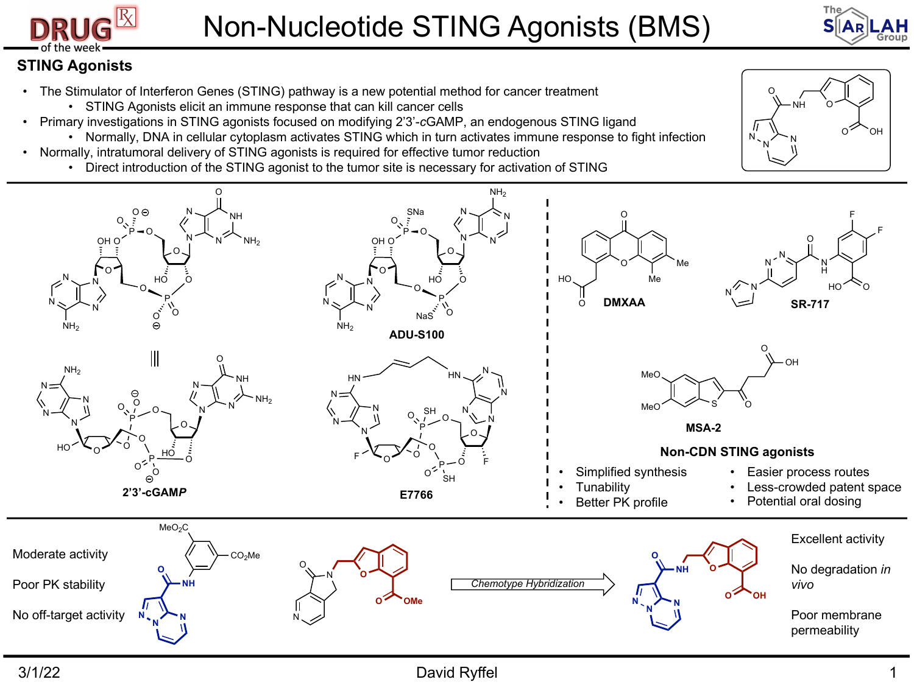



NH O

O

 $N \sim N$ 

N

O OH

## **STING Agonists**

- The Stimulator of Interferon Genes (STING) pathway is a new potential method for cancer treatment
	- STING Agonists elicit an immune response that can kill cancer cells
- Primary investigations in STING agonists focused on modifying 2'3'-*c*GAMP, an endogenous STING ligand
	- Normally, DNA in cellular cytoplasm activates STING which in turn activates immune response to fight infection
- Normally, intratumoral delivery of STING agonists is required for effective tumor reduction
	- Direct introduction of the STING agonist to the tumor site is necessary for activation of STING